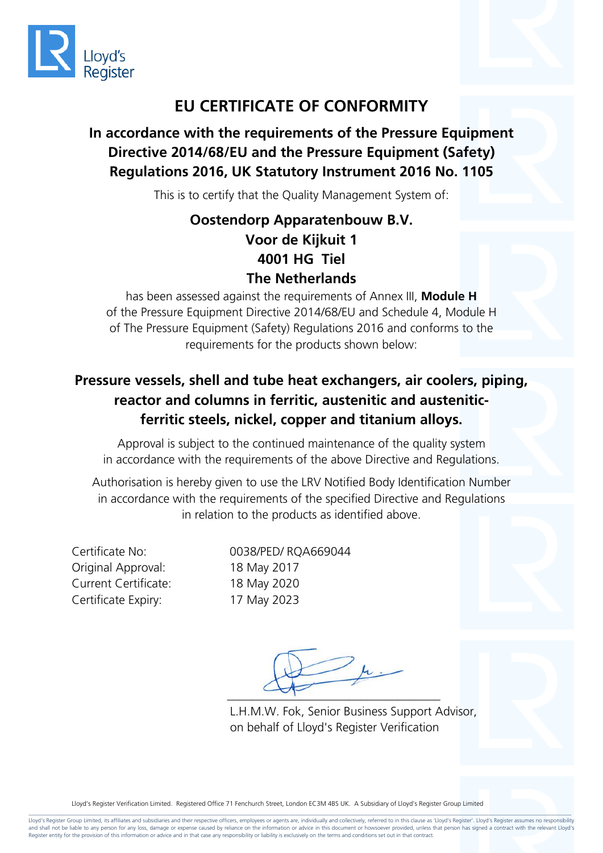

### **EU CERTIFICATE OF CONFORMITY**

### **In accordance with the requirements of the Pressure Equipment Directive 2014/68/EU and the Pressure Equipment (Safety) Regulations 2016, UK Statutory Instrument 2016 No. 1105**

This is to certify that the Quality Management System of:

#### **Oostendorp Apparatenbouw B.V. Voor de Kijkuit 1 4001 HG Tiel The Netherlands**

has been assessed against the requirements of Annex III, **Module H** of the Pressure Equipment Directive 2014/68/EU and Schedule 4, Module H of The Pressure Equipment (Safety) Regulations 2016 and conforms to the requirements for the products shown below:

#### **Pressure vessels, shell and tube heat exchangers, air coolers, piping, reactor and columns in ferritic, austenitic and austeniticferritic steels, nickel, copper and titanium alloys.**

Approval is subject to the continued maintenance of the quality system in accordance with the requirements of the above Directive and Regulations.

Authorisation is hereby given to use the LRV Notified Body Identification Number in accordance with the requirements of the specified Directive and Regulations in relation to the products as identified above.

Original Approval: 18 May 2017 Current Certificate: 18 May 2020 Certificate Expiry: 17 May 2023

Certificate No: 0038/PED/ RQA669044

 $\mu$ .  $-$ 

L.H.M.W. Fok, Senior Business Support Advisor, on behalf of Lloyd's Register Verification

Lloyd's Register Verification Limited. Registered Office 71 Fenchurch Street, London EC3M 4BS UK. A Subsidiary of Lloyd's Register Group Limited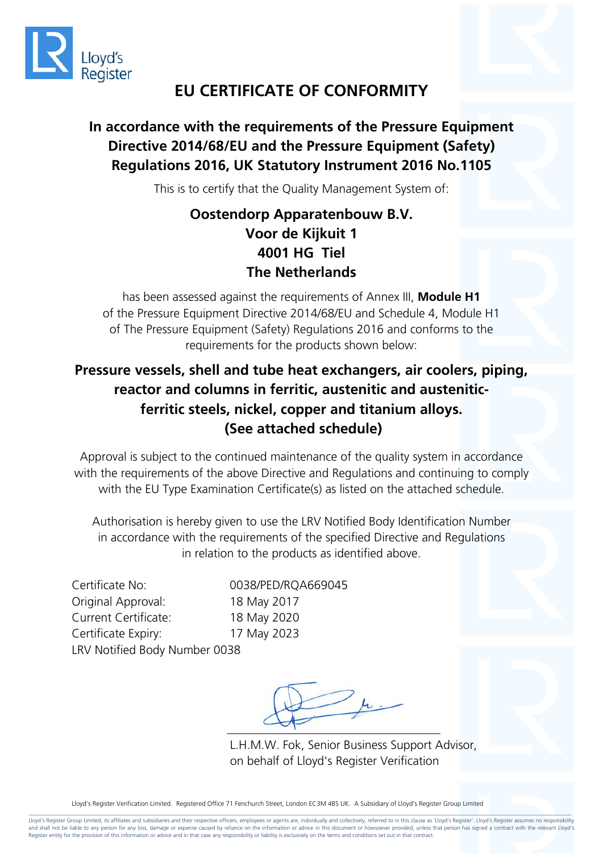

### **EU CERTIFICATE OF CONFORMITY**

#### **In accordance with the requirements of the Pressure Equipment Directive 2014/68/EU and the Pressure Equipment (Safety) Regulations 2016, UK Statutory Instrument 2016 No.1105**

This is to certify that the Quality Management System of:

#### **Oostendorp Apparatenbouw B.V. Voor de Kijkuit 1 4001 HG Tiel The Netherlands**

has been assessed against the requirements of Annex III, **Module H1**  of the Pressure Equipment Directive 2014/68/EU and Schedule 4, Module H1 of The Pressure Equipment (Safety) Regulations 2016 and conforms to the requirements for the products shown below:

#### **Pressure vessels, shell and tube heat exchangers, air coolers, piping, reactor and columns in ferritic, austenitic and austeniticferritic steels, nickel, copper and titanium alloys. (See attached schedule)**

Approval is subject to the continued maintenance of the quality system in accordance with the requirements of the above Directive and Regulations and continuing to comply with the EU Type Examination Certificate(s) as listed on the attached schedule.

Authorisation is hereby given to use the LRV Notified Body Identification Number in accordance with the requirements of the specified Directive and Regulations in relation to the products as identified above.

Certificate No: 0038/PED/RQA669045 Original Approval: 18 May 2017 Current Certificate: 18 May 2020 Certificate Expiry: 17 May 2023 LRV Notified Body Number 0038

 $-\mu$  $\sim$ 

L.H.M.W. Fok, Senior Business Support Advisor, on behalf of Lloyd's Register Verification

Lloyd's Register Verification Limited. Registered Office 71 Fenchurch Street, London EC3M 4BS UK. A Subsidiary of Lloyd's Register Group Limited

\_\_\_\_\_\_\_\_\_\_\_\_\_\_\_\_\_\_\_\_\_\_\_\_\_\_\_\_\_\_\_\_\_\_\_\_\_\_\_\_\_\_\_\_\_\_\_\_\_\_\_\_\_\_\_\_\_\_\_\_\_\_\_\_\_\_\_\_\_\_\_\_\_\_\_\_\_\_\_\_\_\_\_\_\_\_\_\_\_\_\_\_\_\_\_\_\_\_\_\_\_\_\_\_\_\_\_\_\_\_\_\_\_\_\_\_\_\_\_\_\_\_\_\_\_\_\_\_\_\_\_\_\_\_\_\_\_\_\_\_\_\_\_\_\_\_\_\_\_\_\_\_\_\_\_\_\_\_\_\_\_\_\_\_\_ Lloyd's Register Group Limited, its affiliates and subsidiaries and their respective officers, employees or agents are, individually and collectively, referred to in this clause as 'Lloyd's Register'. Lloyd's Register assu and shall not be liable to any person for any loss, damage or expense caused by reliance on the information or advice in this document or howsoever provided, unless that person has signed a contract with the relevant Lloyd Register entity for the provision of this information or advice and in that case any responsibility or liability is exclusively on the terms and conditions set out in that contract.